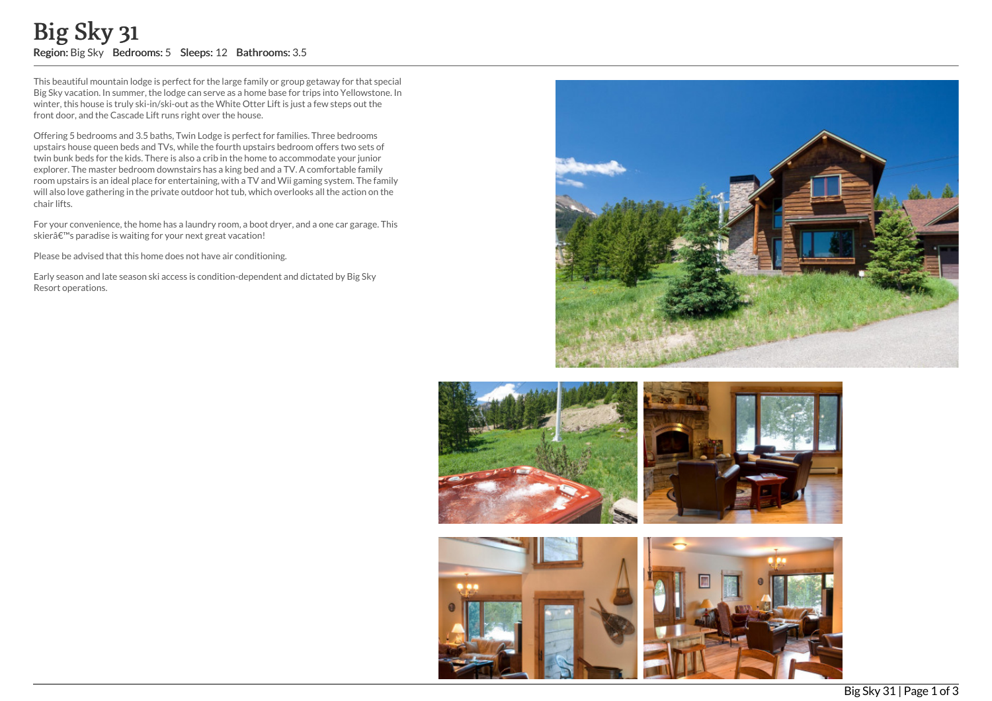This beautiful mountain lodge is perfect for the large family or group getaway for that special Big Sky vacation. In summer, the lodge can serve as a home base for trips into Yellowstone. In winter, this house is truly ski-in/ski-out as the White Otter Lift is just a few steps out the front door, and the Cascade Lift runs right over the house.

Offering 5 bedrooms and 3.5 baths, Twin Lodge is perfect for families. Three bedrooms upstairs house queen beds and TVs, while the fourth upstairs bedroom offers two sets of twin bunk beds for the kids. There is also a crib in the home to accommodate your junior explorer. The master bedroom downstairs has a king bed and a TV. A comfortable family room upstairs is an ideal place for entertaining, with a TV and Wii gaming system. The family will also love gathering in the private outdoor hot tub, which overlooks all the action on the chair lifts.

For your convenience, the home has a laundry room, a boot dryer, and a one car garage. This skierâ€<sup>™</sup>s paradise is waiting for your next great vacation!

Please be advised that this home does not have air conditioning.

Early season and late season ski access is condition-dependent and dictated by Big Sky Resort operations.



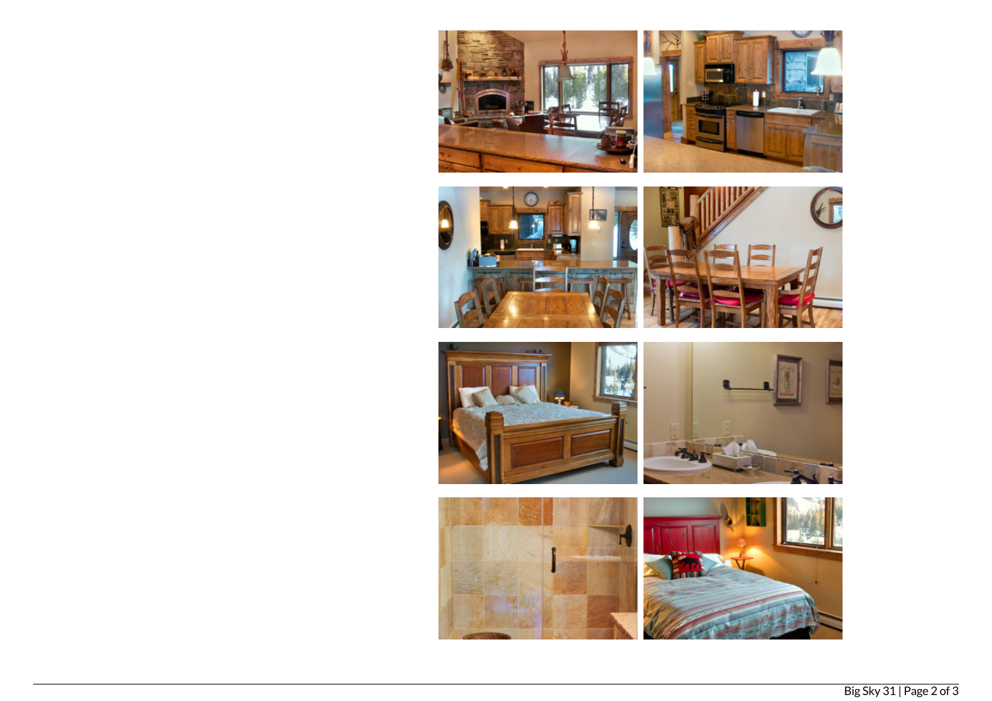